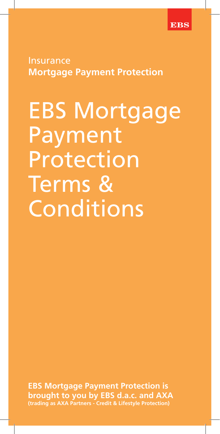

**Insurance Mortgage Payment Protection**

EBS Mortgage Payment Protection Terms & Conditions

**EBS Mortgage Payment Protection is brought to you by EBS d.a.c. and AXA (trading as AXA Partners - Credit & Lifestyle Protection)**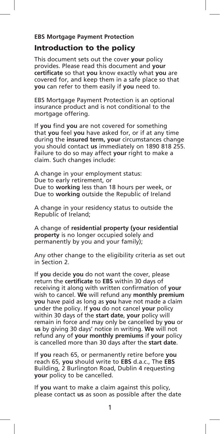#### **EBS Mortgage Payment Protection**

# Introduction to the policy

This document sets out the cover **your** policy provides. Please read this document and **your certificate** so that **you** know exactly what **you** are covered for, and keep them in a safe place so that **you** can refer to them easily if **you** need to.

EBS Mortgage Payment Protection is an optional insurance product and is not conditional to the mortgage offering.

If **you** find **you** are not covered for something that **you** feel **you** have asked for, or if at any time during the **insured term, your** circumstances change you should contact **us** immediately on 1890 818 255. Failure to do so may affect **your** right to make a claim. Such changes include:

A change in your employment status: Due to early retirement, or Due to **working** less than 18 hours per week, or Due to **working** outside the Republic of Ireland

A change in your residency status to outside the Republic of Ireland;

A change of **residential property (your residential property** is no longer occupied solely and permanently by you and your family);

Any other change to the eligibility criteria as set out in Section 2.

If **you** decide **you** do not want the cover, please return the **certificate** to **EBS** within 30 days of receiving it along with written confirmation of **your**  wish to cancel. **We** will refund any **monthly premium you** have paid as long as **you** have not made a claim under the policy. If **you** do not cancel **your** policy within 30 days of the **start date**, **your** policy will remain in force and may only be cancelled by **you** or **us** by giving 30 days' notice in writing. **We** will not refund any of **your monthly premiums** if **your** policy is cancelled more than 30 days after the **start date**.

If **you** reach 65, or permanently retire before **you** reach 65, **you** should write to **EBS** d.a.c., The **EBS** Building, 2 Burlington Road, Dublin 4 requesting **your** policy to be cancelled.

If **you** want to make a claim against this policy, please contact **us** as soon as possible after the date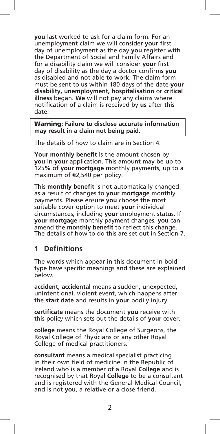**you** last worked to ask for a claim form. For an unemployment claim we will consider **your** first day of unemployment as the day **you** register with the Department of Social and Family Affairs and for a disability claim we will consider **your** first day of disability as the day a doctor confirms **you** as disabled and not able to work. The claim form must be sent to **us** within 180 days of the date **your disability, unemployment, hospitalisation** or **critical illness** began. **We** will not pay any claims where notification of a claim is received by **us** after this date.

Warning: **Failure to disclose accurate information may result in a claim not being paid.** 

The details of how to claim are in Section 4.

**Your monthly benefit** is the amount chosen by **you** in **your** application. This amount may be up to 125% of **your mortgage** monthly payments, up to a maximum of €2,540 per policy.

This **monthly benefit** is not automatically changed as a result of changes to **your mortgage** monthly payments. Please ensure **you** choose the most suitable cover option to meet **your** individual circumstances, including **your** employment status. If **your mortgage** monthly payment changes, **you** can amend the **monthly benefit** to reflect this change. The details of how to do this are set out in Section 7.

# **1 Definitions**

The words which appear in this document in bold type have specific meanings and these are explained below.

**accident**, **accidental** means a sudden, unexpected, unintentional, violent event, which happens after the **start date** and results in **your** bodily injury.

**certificate** means the document **you** receive with this policy which sets out the details of **your** cover.

**college** means the Royal College of Surgeons, the Royal College of Physicians or any other Royal College of medical practitioners.

**consultant** means a medical specialist practicing in their own field of medicine in the Republic of Ireland who is a member of a Royal **College** and is recognised by that Royal **College** to be a consultant and is registered with the General Medical Council, and is not **you**, a relative or a close friend.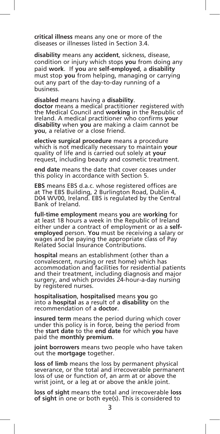**critical illness** means any one or more of the diseases or illnesses listed in Section 3.4.

**disability** means any **accident**, sickness, disease, condition or injury which stops **you** from doing any paid **work**. If **you** are **self-employed**, a **disability** must stop **you** from helping, managing or carrying out any part of the day-to-day running of a business.

**disabled** means having a **disability**. **doctor** means a medical practitioner registered with the Medical Council and **working** in the Republic of Ireland. A medical practitioner who confirms **your disability** when **you** are making a claim cannot be **you**, a relative or a close friend.

**elective surgical procedure** means a procedure which is not medically necessary to maintain **your** quality of life and is carried out solely at **your** request, including beauty and cosmetic treatment.

**end date** means the date that cover ceases under this policy in accordance with Section 5.

**EBS** means EBS d.a.c. whose registered offices are at The EBS Building, 2 Burlington Road, Dublin 4, D04 WV00, Ireland. EBS is regulated by the Central Bank of Ireland.

**full-time employment** means **you** are **working** for at least 18 hours a week in the Republic of Ireland either under a contract of employment or as a **selfemployed** person. **You** must be receiving a salary or wages and be paying the appropriate class of Pay Related Social Insurance Contributions.

**hospital** means an establishment (other than a convalescent, nursing or rest home) which has accommodation and facilities for residential patients and their treatment, including diagnosis and major surgery, and which provides 24-hour-a-day nursing by registered nurses.

**hospitalisation**, **hospitalised** means **you** go into a **hospital** as a result of a **disability** on the recommendation of a **doctor**.

**insured term** means the period during which cover under this policy is in force, being the period from the **start date** to the **end date** for which **you** have paid the **monthly premium**.

**joint borrowers** means two people who have taken out the **mortgage** together.

**loss of limb** means the loss by permanent physical severance, or the total and irrecoverable permanent loss of use or function of, an arm at or above the wrist joint, or a leg at or above the ankle joint.

**loss of sight** means the total and irrecoverable **loss of sight** in one or both eye(s). This is considered to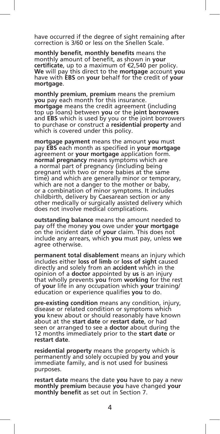have occurred if the degree of sight remaining after correction is 3/60 or less on the Snellen Scale.

**monthly benefit**, **monthly benefits** means the monthly amount of benefit, as shown in **your certificate**, up to a maximum of €2,540 per policy. **We** will pay this direct to the **mortgage** account **you** have with **EBS** on **your** behalf for the credit of **your mortgage**.

**monthly premium**, **premium** means the premium **you** pay each month for this insurance. **mortgage** means the credit agreement (including top up loans) between **you** or the **joint borrowers** and **EBS** which is used by you or the joint borrowers to purchase or construct a **residential property** and which is covered under this policy.

**mortgage payment** means the amount **you** must pay **EBS** each month as specified in **your mortgage** agreement or **your mortgage** application form. **normal pregnancy** means symptoms which are a normal part of pregnancy (including being pregnant with two or more babies at the same time) and which are generally minor or temporary, which are not a danger to the mother or baby, or a combination of minor symptoms. It includes childbirth, delivery by Caesarean section or any other medically or surgically assisted delivery which does not involve medical complications.

**outstanding balance** means the amount needed to pay off the money **you** owe under **your mortgage** on the incident date of **your** claim. This does not include any arrears, which **you** must pay, unless **we** agree otherwise.

**permanent total disablement** means an injury which includes either **loss of limb** or **loss of sight** caused directly and solely from an **accident** which in the opinion of a **doctor** appointed by **us** is an injury that wholly prevents **you** from **working** for the rest of **your** life in any occupation which **your** training/ education or experience qualifies **you** to do.

**pre-existing condition** means any condition, injury, disease or related condition or symptoms which **you** knew about or should reasonably have known about at the **start date** or **restart date**, or had seen or arranged to see a **doctor** about during the 12 months immediately prior to the **start date** or **restart date**.

**residential property** means the property which is permanently and solely occupied by **you** and **your** immediate family, and is not used for business purposes.

**restart date** means the date **you** have to pay a new **monthly premium** because **you** have changed **your monthly benefit** as set out in Section 7.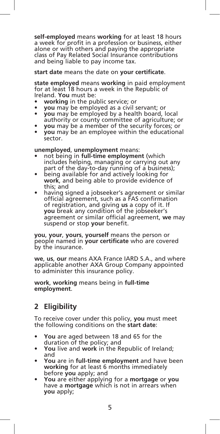**self-employed** means **working** for at least 18 hours a week for profit in a profession or business, either alone or with others and paying the appropriate class of Pay Related Social Insurance contributions and being liable to pay income tax.

#### **start date** means the date on **your certificate**.

**state employed** means **working** in paid employment for at least 18 hours a week in the Republic of Ireland. **You** must be:

- **working** in the public service; or
- **you** may be employed as a civil servant; or
- **you** may be employed by a health board, local authority or county committee of agriculture; or
- **you** may be a member of the security forces; or
- **you** may be an employee within the educational sector.

#### **unemployed**, **unemployment** means:

- not being in **full-time employment** (which includes helping, managing or carrying out any part of the day-to-day running of a business);
- being available for and actively looking for **work**, and being able to provide evidence of this; and
- having signed a jobseeker's agreement or similar official agreement, such as a FAS confirmation of registration, and giving **us** a copy of it. If **you** break any condition of the jobseeker's agreement or similar official agreement, **we** may suspend or stop **your** benefit.

**you**, **your**, **yours**, **yourself** means the person or people named in **your certificate** who are covered by the insurance.

**we**, **us**, **our** means AXA France IARD S.A., and where applicable another AXA Group Company appointed to administer this insurance policy.

**work**, **working** means being in **full-time employment**.

# **2 Eligibility**

To receive cover under this policy, **you** must meet the following conditions on the **start date**:

- **You** are aged between 18 and 65 for the duration of the policy; and
- **You** live and **work** in the Republic of Ireland; and
- **You** are in **full-time employment** and have been **working** for at least 6 months immediately before **you** apply; and
- **You** are either applying for a **mortgage** or **you** have a **mortgage** which is not in arrears when **you** apply;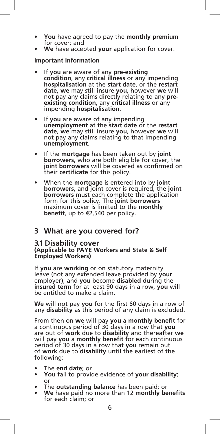- **You** have agreed to pay the **monthly premium** for cover; and
- **We** have accepted **your** application for cover.

### **Important Information**

- If **you** are aware of any **pre-existing condition**, any **critical illness** or any impending **hospitalisation** at the **start date**, or the **restart date**, **we** may still insure **you**, however **we** will not pay any claims directly relating to any **preexisting condition**, any **critical illness** or any impending **hospitalisation**.
- If **you** are aware of any impending **unemployment** at the **start date** or the **restart date**, **we** may still insure **you**, however **we** will not pay any claims relating to that impending **unemployment**.
- If the **mortgage** has been taken out by **joint borrowers**, who are both eligible for cover, the **joint borrowers** will be covered as confirmed on their **certificate** for this policy.
- When the **mortgage** is entered into by **joint borrowers**, and joint cover is required, the **joint borrowers** must each complete the application form for this policy. The **joint borrowers** maximum cover is limited to the **monthly benefit**, up to €2,540 per policy.

# **3 What are you covered for?**

**3.1 Disability cover (Applicable to PAYE Workers and State & Self Employed Workers)**

If **you** are **working** or on statutory maternity leave (not any extended leave provided by **your** employer), and **you** become **disabled** during the **insured term** for at least 90 days in a row, **you** will be entitled to make a claim.

**We** will not pay **you** for the first 60 days in a row of any **disability** as this period of any claim is excluded.

From then on **we** will pay **you** a **monthly benefit** for a continuous period of 30 days in a row that **you** are out of **work** due to **disability** and thereafter **we** will pay **you** a **monthly benefit** for each continuous period of 30 days in a row that **you** remain out of **work** due to **disability** until the earliest of the following:

- The **end date**; or
- **You** fail to provide evidence of **your disability**; or
- The **outstanding balance** has been paid; or
- **We** have paid no more than 12 **monthly benefits** for each claim; or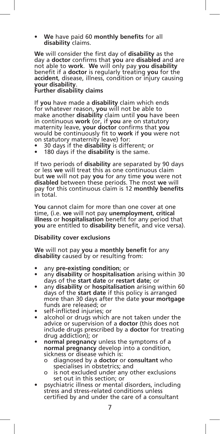• **We** have paid 60 **monthly benefits** for all **disability** claims.

**We** will consider the first day of **disability** as the day a **doctor** confirms that **you** are **disabled** and are not able to **work**. **We** will only pay **you disability** benefit if a **doctor** is regularly treating **you** for the **accident**, disease, illness, condition or injury causing

### **your disability**. **Further disability claims**

If **you** have made a **disability** claim which ends for whatever reason, **you** will not be able to make another **disability** claim until **you** have been in continuous **work** (or, if **you** are on statutory maternity leave, **your doctor** confirms that **you** would be continuously fit to **work** if **you** were not on statutory maternity leave) for:

- 30 days if the **disability** is different; or
- 180 days if the **disability** is the same.

If two periods of **disability** are separated by 90 days or less **we** will treat this as one continuous claim but **we** will not pay **you** for any time **you** were not **disabled** between these periods. The most **we** will pay for this continuous claim is 12 **monthly benefits** in total.

**You** cannot claim for more than one cover at one time, (i.e. **we** will not pay **unemployment**, **critical illness** or **hospitalisation** benefit for any period that **you** are entitled to **disability** benefit, and vice versa).

#### **Disability cover exclusions**

**We** will not pay **you** a **monthly benefit** for any **disability** caused by or resulting from:

- any **pre-existing condition**; or
- any **disability** or **hospitalisation** arising within 30 days of the **start date** or **restart date**; or
- any **disability** or **hospitalisation** arising within 60 days of the **start date** if this policy is arranged more than 30 days after the date **your mortgage** funds are released; or
- self-inflicted injuries; or
- alcohol or drugs which are not taken under the advice or supervision of a **doctor** (this does not include drugs prescribed by a **doctor** for treating drug addiction); or
- **normal pregnancy** unless the symptoms of a **normal pregnancy** develop into a condition, sickness or disease which is:
	- o diagnosed by a **doctor** or **consultant** who specialises in obstetrics; and
	- o is not excluded under any other exclusions set out in this section; or
- psychiatric illness or mental disorders, including stress and stress-related conditions unless certified by and under the care of a consultant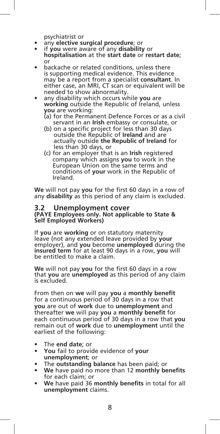- psychiatrist or any **elective surgical procedure**; or
- if **you** were aware of any **disability** or **hospitalisation** at the **start date** or **restart date**; or
- backache or related conditions, unless there is supporting medical evidence. This evidence may be a report from a specialist **consultant**. In either case, an MRI, CT scan or equivalent will be needed to show abnormality.
- any disability which occurs while **you** are **working** outside the Republic of Ireland, unless **you** are working:
	- (a) for the Permanent Defence Forces or as a civil servant in an **Irish** embassy or consulate, or
	- (b) on a specific project for less than 30 days outside the Republic of **Ireland** and are actually outside **the Republic of Ireland** for less than 30 days, or
	- (c) for an employer that is an **Irish** registered company which assigns **you** to work in the European Union on the same terms and conditions of **your** work in the Republic of Ireland.

**We** will not pay **you** for the first 60 days in a row of any **disability** as this period of any claim is excluded.

# **3.2 Unemployment cover (PAYE Employees only. Not applicable to State & Self Employed Workers)**

If **you** are **working** or on statutory maternity leave (not any extended leave provided by **your** employer), and **you** become **unemployed** during the **insured term** for at least 90 days in a row, **you** will be entitled to make a claim.

**We** will not pay **you** for the first 60 days in a row that **you** are **unemployed** as this period of any claim is excluded.

From then on **we** will pay **you** a **monthly benefit** for a continuous period of 30 days in a row that **you** are out of **work** due to **unemployment** and thereafter **we** will pay **you** a **monthly benefit** for each continuous period of 30 days in a row that **you** remain out of **work** due to **unemployment** until the earliest of the following:

- The **end date**; or
- **You** fail to provide evidence of **your unemployment**; or
- The **outstanding balance** has been paid; or
- **We** have paid no more than 12 **monthly benefits** for each claim; or
- **We** have paid 36 **monthly benefits** in total for all **unemployment** claims.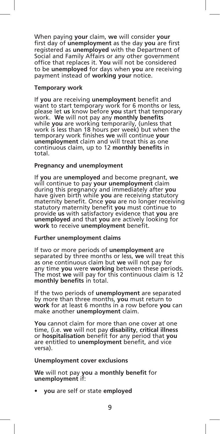When paying **your** claim, **we** will consider **your** first day of **unemployment** as the day **you** are first registered as **unemployed** with the Department of Social and Family Affairs or any other government office that replaces it. **You** will not be considered to be **unemployed** for days when **you** are receiving payment instead of **working your** notice.

#### **Temporary work**

If **you** are receiving **unemployment** benefit and want to start temporary work for 6 months or less, please let **us** know before **you** start that temporary work. **We** will not pay any **monthly benefits** while **you** are working temporarily, (unless that work is less than 18 hours per week) but when the temporary work finishes **we** will continue **your unemployment** claim and will treat this as one continuous claim, up to 12 **monthly benefits** in total.

#### **Pregnancy and unemployment**

If **you** are **unemployed** and become pregnant, **we** will continue to pay **your unemployment** claim during this pregnancy and immediately after **you** have given birth while **you** are receiving statutory maternity benefit. Once **you** are no longer receiving statutory maternity benefit **you** must continue to provide **us** with satisfactory evidence that **you** are **unemployed** and that **you** are actively looking for **work** to receive **unemployment** benefit.

#### **Further unemployment claims**

If two or more periods of **unemployment** are separated by three months or less, **we** will treat this as one continuous claim but **we** will not pay for any time **you** were **working** between these periods. The most **we** will pay for this continuous claim is 12 **monthly benefits** in total.

If the two periods of **unemployment** are separated by more than three months, **you** must return to **work** for at least 6 months in a row before **you** can make another **unemployment** claim.

**You** cannot claim for more than one cover at one time, (i.e. **we** will not pay **disability**, **critical illness** or **hospitalisation** benefit for any period that **you** are entitled to **unemployment** benefit, and vice versa).

#### **Unemployment cover exclusions**

**We** will not pay **you** a **monthly benefit** for **unemployment** if:

• **you** are self or state **employed**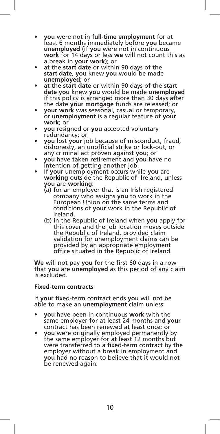- **you** were not in **full-time employment** for at least 6 months immediately before **you** became **unemployed** (if **you** were not in continuous **work** for 14 days or less **we** will not count this as a break in **your work**); or
- at the **start date** or within 90 days of the **start date**, **you** knew **you** would be made **unemployed**; or
- at the **start date** or within 90 days of the **start date you** knew **you** would be made **unemployed** if this policy is arranged more than 30 days after the date **your mortgage** funds are released; or
- **your work** was seasonal, casual or temporary, or **unemployment** is a regular feature of **your work**; or
- **you** resigned or **you** accepted voluntary redundancy; or
- **you** lost **your** job because of misconduct, fraud, dishonesty, an unofficial strike or lock-out, or any criminal act proven against **you**; or
- **you** have taken retirement and **you** have no intention of getting another job.
- If **your** unemployment occurs while **you** are **working** outside the Republic of Ireland, unless **you** are **working**:
	- (a) for an employer that is an Irish registered company who assigns **you** to work in the European Union on the same terms and conditions of **your** work in the Republic of Ireland.
	- (b) in the Republic of Ireland when **you** apply for this cover and the job location moves outside the Republic of Ireland, provided claim validation for unemployment claims can be provided by an appropriate employment office situated in the Republic of Ireland.

**We** will not pay **you** for the first 60 days in a row that **you** are **unemployed** as this period of any claim is excluded.

## **Fixed-term contracts**

If **your** fixed-term contract ends **you** will not be able to make an **unemployment** claim unless:

- **you** have been in continuous **work** with the same employer for at least 24 months and **your** contract has been renewed at least once; or
- **you** were originally employed permanently by the same employer for at least 12 months but were transferred to a fixed-term contract by the employer without a break in employment and **you** had no reason to believe that it would not be renewed again.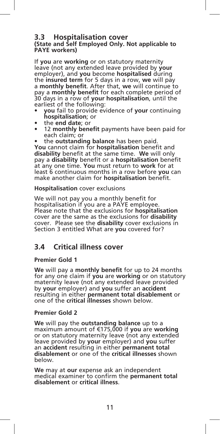# **3.3 Hospitalisation cover (State and Self Employed Only. Not applicable to PAYE workers)**

If **you** are **working** or on statutory maternity leave (not any extended leave provided by **your** employer), and **you** become **hospitalised** during the **insured term** for 5 days in a row, **we** will pay a **monthly benefit**. After that, **we** will continue to pay a **monthly benefit** for each complete period of 30 days in a row of **your hospitalisation**, until the earliest of the following:

- **you** fail to provide evidence of **your** continuing **hospitalisation**; or
- the **end date**; or
- 12 **monthly benefit** payments have been paid for each claim; or
- the **outstanding balance** has been paid.

**You** cannot claim for **hospitalisation** benefit and **disability** benefit at the same time. **We** will only pay a **disability** benefit or a **hospitalisation** benefit at any one time. **You** must return to **work** for at least 6 continuous months in a row before **you** can make another claim for **hospitalisation** benefit.

**Hospitalisation** cover exclusions

We will not pay you a monthly benefit for hospitalisation if you are a PAYE employee. Please note that the exclusions for **hospitalisation** cover are the same as the exclusions for **disability** cover. Please see the **disability** cover exclusions in Section 3 entitled What are **you** covered for?

# **3.4 Critical illness cover**

### **Premier Gold 1**

**We** will pay a **monthly benefit** for up to 24 months for any one claim if **you** are **working** or on statutory maternity leave (not any extended leave provided by **your** employer) and **you** suffer an **accident** resulting in either **permanent total disablement** or one of the **critical illnesses** shown below.

### **Premier Gold 2**

**We** will pay the **outstanding balance** up to a maximum amount of €175,000 if **you** are **working** or on statutory maternity leave (not any extended leave provided by **your** employer) and **you** suffer an **accident** resulting in either **permanent total disablement** or one of the **critical illnesses** shown below.

**We** may at **our** expense ask an independent medical examiner to confirm the **permanent total disablement** or **critical illness**.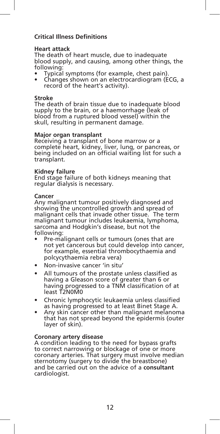## **Critical Illness Definitions**

#### **Heart attack**

The death of heart muscle, due to inadequate blood supply, and causing, among other things, the following:

- Typical symptoms (for example, chest pain).
- Changes shown on an electrocardiogram (ECG, a record of the heart's activity).

#### **Stroke**

The death of brain tissue due to inadequate blood supply to the brain, or a haemorrhage (leak of blood from a ruptured blood vessel) within the skull, resulting in permanent damage.

#### **Major organ transplant**

Receiving a transplant of bone marrow or a complete heart, kidney, liver, lung, or pancreas, or being included on an official waiting list for such a transplant.

#### **Kidney failure**

End stage failure of both kidneys meaning that regular dialysis is necessary.

#### **Cancer**

Any malignant tumour positively diagnosed and showing the uncontrolled growth and spread of malignant cells that invade other tissue. The term malignant tumour includes leukaemia, lymphoma, sarcoma and Hodgkin's disease, but not the following:

- Pre-malignant cells or tumours (ones that are not yet cancerous but could develop into cancer, for example, essential thrombocythaemia and polcycythaemia rebra vera)
- Non-invasive cancer 'in situ'
- All tumours of the prostate unless classified as having a Gleason score of greater than 6 or having progressed to a TNM classification of at least T2N0M0
- Chronic lymphocytic leukaemia unless classified as having progressed to at least Binet Stage A.
- Any skin cancer other than malignant melanoma that has not spread beyond the epidermis (outer layer of skin).

#### **Coronary artery disease**

A condition leading to the need for bypass grafts to correct narrowing or blockage of one or more coronary arteries. That surgery must involve median sternotomy (surgery to divide the breastbone) and be carried out on the advice of a **consultant** cardiologist.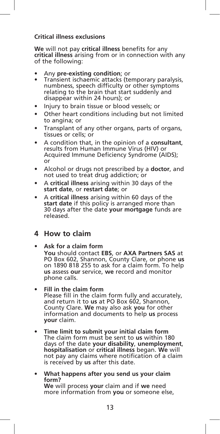## **Critical illness exclusions**

**We** will not pay **critical illness** benefits for any **critical illness** arising from or in connection with any of the following:

- Any **pre-existing condition**; or
- Transient ischaemic attacks (temporary paralysis, numbness, speech difficulty or other symptoms relating to the brain that start suddenly and disappear within 24 hours); or
- Injury to brain tissue or blood vessels; or
- Other heart conditions including but not limited to angina; or
- Transplant of any other organs, parts of organs, tissues or cells; or
- A condition that, in the opinion of a **consultant**, results from Human Immune Virus (HIV) or Acquired Immune Deficiency Syndrome (AIDS); or
- Alcohol or drugs not prescribed by a **doctor**, and not used to treat drug addiction; or
- A **critical illness** arising within 30 days of the **start date**, or **restart date**; or
- A **critical illness** arising within 60 days of the **start date** if this policy is arranged more than 30 days after the date **your mortgage** funds are released.

# **4 How to claim**

## • **Ask for a claim form**

 **You** should contact **EBS**, or **AXA Partners SAS** at PO Box 602, Shannon, County Clare, or phone **us** on 1890 818 255 to ask for a claim form. To help **us** assess **our** service, **we** record and monitor phone calls.

• **Fill in the claim form**

 Please fill in the claim form fully and accurately, and return it to **us** at PO Box 602, Shannon, County Clare. **We** may also ask **you** for other information and documents to help **us** process **your** claim.

- **Time limit to submit your initial claim form** The claim form must be sent to **us** within 180 days of the date **your disability**, **unemployment**, **hospitalisation** or **critical illness** began. **We** will not pay any claims where notification of a claim is received by **us** after this date.
- **What happens after you send us your claim We** will process **your** claim and if we need more information from **you** or someone else,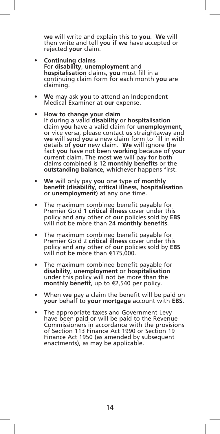**we** will write and explain this to **you**. **We** will then write and tell **you** if **we** have accepted or rejected **your** claim.

- **Continuing claims** For **disability**, **unemployment** and **hospitalisation** claims, **you** must fill in a continuing claim form for each month **you** are claiming.
- **We** may ask **you** to attend an Independent Medical Examiner at **our** expense.

### • **How to change your claim**

- If during a valid **disability** or **hospitalisation** claim **you** have a valid claim for **unemployment**, or vice versa, please contact **us** straightaway and **we** will send **you** a new claim form to fill in with details of **your** new claim. **We** will ignore the fact **you** have not been **working** because of **your** current claim. The most **we** will pay for both claims combined is 12 **monthly benefits** or the **outstanding balance**, whichever happens first.
- **We** will only pay **you** one type of **monthly benefit** (**disability**, **critical illness**, **hospitalisation** or **unemployment**) at any one time.
- The maximum combined benefit payable for Premier Gold 1 **critical illness** cover under this policy and any other of **our** policies sold by **EBS** will not be more than 24 **monthly benefits**.
- The maximum combined benefit payable for Premier Gold 2 **critical illness** cover under this policy and any other of **our** policies sold by **EBS** will not be more than €175,000.
- The maximum combined benefit payable for **disability**, **unemployment** or **hospitalisation** under this policy will not be more than the **monthly benefit**, up to €2,540 per policy.
- When **we** pay a claim the benefit will be paid on **your** behalf to **your mortgage** account with **EBS**.
- The appropriate taxes and Government Levy have been paid or will be paid to the Revenue Commissioners in accordance with the provisions of Section 113 Finance Act 1990 or Section 19 Finance Act 1950 (as amended by subsequent enactments), as may be applicable.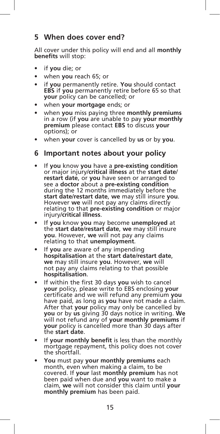# **5 When does cover end?**

All cover under this policy will end and all **monthly benefits** will stop:

- if **you** die; or
- when **you** reach 65; or
- if **you** permanently retire. **You** should contact **EBS** if **you** permanently retire before 65 so that **your** policy can be cancelled; or
- when **your mortgage** ends; or
- when **you** miss paying three **monthly premiums** in a row (if **you** are unable to pay **your monthly premium** please contact **EBS** to discuss **your** options); or
- when **your** cover is cancelled by **us** or by **you**.

# **6 Important notes about your policy**

- If **you** know **you** have a **pre-existing condition** or major injury/**critical illness** at the **start date**/ **restart date**, or **you** have seen or arranged to see a **doctor** about a **pre-existing condition** during the 12 months immediately before the **start date**/**restart date**, **we** may still insure **you**. However **we** will not pay any claims directly relating to that **pre-existing condition** or major injury/**critical illness**.
- If **you** know **you** may become **unemployed** at the **start date**/**restart date**, **we** may still insure **you**. However, **we** will not pay any claims relating to that **unemployment**.
- If **you** are aware of any impending **hospitalisation** at the **start date**/**restart date**, **we** may still insure **you**. However, **we** will not pay any claims relating to that possible **hospitalisation**.
- If within the first 30 days **you** wish to cancel **your** policy, please write to EBS enclosing **your**  certificate and we will refund any premium **you** have paid, as long as **you** have not made a claim. After that **your** policy may only be cancelled by **you** or by **us** giving 30 days notice in writing. **We** will not refund any of **your monthly premiums** if **your** policy is cancelled more than 30 days after the **start date**.
- If **your monthly benefit** is less than the monthly mortgage repayment, this policy does not cover the shortfall.
- **You** must pay **your monthly premiums** each month, even when making a claim, to be covered. If **your** last **monthly premium** has not been paid when due and **you** want to make a claim, **we** will not consider this claim until **your monthly premium** has been paid.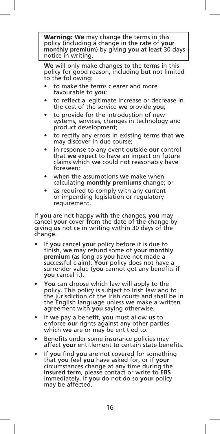Warning: **We** may change the terms in this policy (including a change in the rate of **your monthly premium**) by giving **you** at least 30 days notice in writing.

 **We** will only make changes to the terms in this policy for good reason, including but not limited to the following:

- to make the terms clearer and more favourable to **you**;
- to reflect a legitimate increase or decrease in the cost of the service **we** provide **you**;
- to provide for the introduction of new systems, services, changes in technology and product development;
- to rectify any errors in existing terms that **we** may discover in due course;
- in response to any event outside **our** control that **we** expect to have an impact on future claims which **we** could not reasonably have foreseen;
- when the assumptions **we** make when calculating **monthly premiums** change; or
- as required to comply with any current or impending legislation or regulatory requirement.

If **you** are not happy with the changes, **you** may cancel **your** cover from the date of the change by giving **us** notice in writing within 30 days of the change.

- If **you** cancel **your** policy before it is due to finish, **we** may refund some of **your monthly premium** (as long as **you** have not made a successful claim). **Your** policy does not have a surrender value (**you** cannot get any benefits if **you** cancel it).
- **You** can choose which law will apply to the policy. This policy is subject to Irish law and to the jurisdiction of the Irish courts and shall be in the English language unless **we** make a written agreement with **you** saying otherwise.
- If **we** pay a benefit, **you** must allow **us** to enforce **our** rights against any other parties which **we** are or may be entitled to.
- Benefits under some insurance policies may affect **your** entitlement to certain state benefits.
- If **you** find **you** are not covered for something that **you** feel **you** have asked for, or if **your** circumstances change at any time during the **insured term**, please contact or write to **EBS** immediately. If **you** do not do so **your** policy may be affected.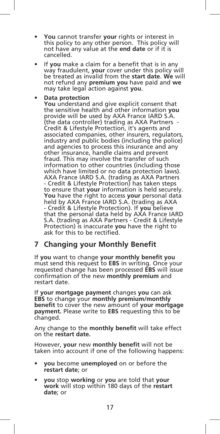- **You** cannot transfer **your** rights or interest in this policy to any other person. This policy will not have any value at the **end date** or if it is cancelled.
- If **you** make a claim for a benefit that is in any way fraudulent, **your** cover under this policy will be treated as invalid from the **start date**. **We** will not refund any **premium you** have paid and **we** may take legal action against **you**.

## • **Data protection**

 **You** understand and give explicit consent that the sensitive health and other information **you** provide will be used by AXA France IARD S.A. (the data controller) trading as AXA Partners - Credit & Lifestyle Protection, it's agents and associated companies, other insurers, regulators, industry and public bodies (including the police) and agencies to process this insurance and any other insurance, handle claims and prevent fraud. This may involve the transfer of such information to other countries (including those which have limited or no data protection laws). AXA France IARD S.A. (trading as AXA Partners - Credit & Lifestyle Protection) has taken steps to ensure that **your** information is held securely. **You** have the right to access **your** personal data held by AXA France IARD S.A. (trading as AXA - Credit & Lifestyle Protection). If **you** believe that the personal data held by AXA France IARD S.A. (trading as AXA Partners - Credit & Lifestyle Protection) is inaccurate **you** have the right to ask for this to be rectified.

# **7 Changing your Monthly Benefit**

If **you** want to change **your monthly benefit you**  must send this request to **EBS** in writing. Once your requested change has been processed **EBS** will issue confirmation of the new **monthly premium** and restart date.

If **your mortgage payment** changes **you** can ask **EBS** to change your **monthly premium/monthly benefit** to cover the new amount of **your mortgage payment.** Please write to **EBS** requesting this to be changed.

Any change to the **monthly benefit** will take effect on the **restart date.**

However, **your** new **monthly benefit** will not be taken into account if one of the following happens:

- **you** become **unemployed** on or before the **restart date**; or
- **you** stop **working** or **you** are told that **your work** will stop within 180 days of the **restart date**; or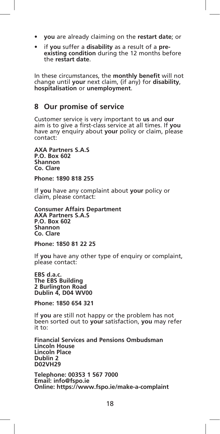- **you** are already claiming on the **restart date**; or
- if **you** suffer a **disability** as a result of a **preexisting condition** during the 12 months before the **restart date**.

In these circumstances, the **monthly benefit** will not change until **your** next claim, (if any) for **disability**, **hospitalisation** or **unemployment**.

# **8 Our promise of service**

Customer service is very important to **us** and **our** aim is to give a first-class service at all times. If **you** have any enquiry about **your** policy or claim, please contact:

**AXA Partners S.A.S P.O. Box 602 Shannon Co. Clare** 

**Phone: 1890 818 255**

If **you** have any complaint about **your** policy or claim, please contact:

**Consumer Affairs Department AXA Partners S.A.S P.O. Box 602 Shannon Co. Clare** 

**Phone: 1850 81 22 25**

If **you** have any other type of enquiry or complaint, please contact:

**EBS d.a.c. The EBS Building 2 Burlington Road Dublin 4, D04 WV00**

**Phone: 1850 654 321**

If **you** are still not happy or the problem has not been sorted out to **your** satisfaction, **you** may refer it to:

**Financial Services and Pensions Ombudsman Lincoln House Lincoln Place Dublin 2 D02VH29**

**Telephone: 00353 1 567 7000 Email: info@fspo.ie Online: https://www.fspo.ie/make-a-complaint**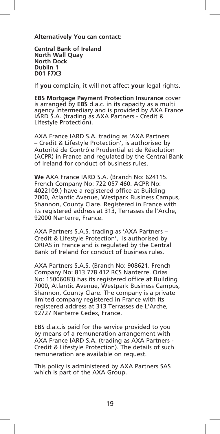**Alternatively You can contact:**

**Central Bank of Ireland North Wall Quay North Dock Dublin 1 D01 F7X3**

If **you** complain, it will not affect **your** legal rights.

**EBS Mortgage Payment Protection Insurance** cover is arranged by **EBS** d.a.c. in its capacity as a multi agency intermediary and is provided by AXA France IARD S.A. (trading as AXA Partners - Credit & Lifestyle Protection).

AXA France IARD S.A. trading as 'AXA Partners – Credit & Lifestyle Protection', is authorised by Autorité de Contrôle Prudential et de Résolution (ACPR) in France and regulated by the Central Bank of Ireland for conduct of business rules.

**We** AXA France IARD S.A. (Branch No: 624115. French Company No: 722 057 460. ACPR No: 4022109.) have a registered office at Building 7000, Atlantic Avenue, Westpark Business Campus, Shannon, County Clare. Registered in France with its registered address at 313, Terrasses de l'Arche, 92000 Nanterre, France.

AXA Partners S.A.S. trading as 'AXA Partners – Credit & Lifestyle Protection', is authorised by ORIAS in France and is regulated by the Central Bank of Ireland for conduct of business rules.

AXA Partners S.A.S. (Branch No: 908621. French Company No: 813 778 412 RCS Nanterre. Orias No: 15006083) has its registered office at Building 7000, Atlantic Avenue, Westpark Business Campus, Shannon, County Clare. The company is a private limited company registered in France with its registered address at 313 Terrasses de L'Arche, 92727 Nanterre Cedex, France.

EBS d.a.c.is paid for the service provided to you by means of a remuneration arrangement with AXA France IARD S.A. (trading as AXA Partners - Credit & Lifestyle Protection). The details of such remuneration are available on request.

This policy is administered by AXA Partners SAS which is part of the AXA Group.